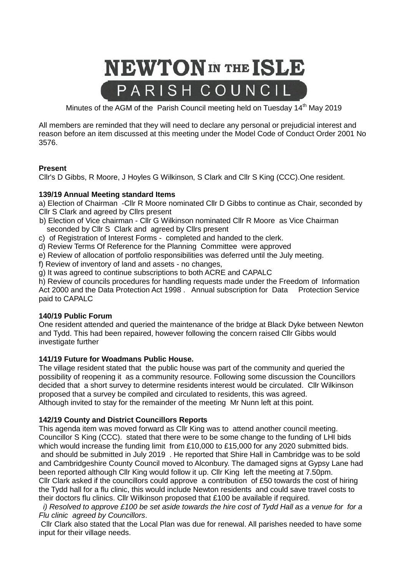

Minutes of the AGM of the Parish Council meeting held on Tuesday 14<sup>th</sup> May 2019

All members are reminded that they will need to declare any personal or prejudicial interest and reason before an item discussed at this meeting under the Model Code of Conduct Order 2001 No 3576.

## **Present**

Cllr's D Gibbs, R Moore, J Hoyles G Wilkinson, S Clark and Cllr S King (CCC).One resident.

## **139/19 Annual Meeting standard Items**

a) Election of Chairman -Cllr R Moore nominated Cllr D Gibbs to continue as Chair, seconded by Cllr S Clark and agreed by Cllrs present

- b) Election of Vice chairman Cllr G Wilkinson nominated Cllr R Moore as Vice Chairman seconded by Cllr S Clark and agreed by Cllrs present
- c) of Registration of Interest Forms completed and handed to the clerk.
- d) Review Terms Of Reference for the Planning Committee were approved
- e) Review of allocation of portfolio responsibilities was deferred until the July meeting.
- f) Review of inventory of land and assets no changes,
- g) It was agreed to continue subscriptions to both ACRE and CAPALC

h) Review of councils procedures for handling requests made under the Freedom of Information Act 2000 and the Data Protection Act 1998 . Annual subscription for Data Protection Service paid to CAPALC

### **140/19 Public Forum**

One resident attended and queried the maintenance of the bridge at Black Dyke between Newton and Tydd. This had been repaired, however following the concern raised Cllr Gibbs would investigate further

# **141/19 Future for Woadmans Public House.**

The village resident stated that the public house was part of the community and queried the possibility of reopening it as a community resource. Following some discussion the Councillors decided that a short survey to determine residents interest would be circulated. Cllr Wilkinson proposed that a survey be compiled and circulated to residents, this was agreed. Although invited to stay for the remainder of the meeting Mr Nunn left at this point.

### **142/19 County and District Councillors Reports**

This agenda item was moved forward as Cllr King was to attend another council meeting. Councillor S King (CCC). stated that there were to be some change to the funding of LHI bids which would increase the funding limit from £10,000 to £15,000 for any 2020 submitted bids. and should be submitted in July 2019 . He reported that Shire Hall in Cambridge was to be sold and Cambridgeshire County Council moved to Alconbury. The damaged signs at Gypsy Lane had been reported although Cllr King would follow it up. Cllr King left the meeting at 7.50pm. Cllr Clark asked if the councillors could approve a contribution of £50 towards the cost of hiring the Tydd hall for a flu clinic, this would include Newton residents and could save travel costs to their doctors flu clinics. Cllr Wilkinson proposed that £100 be available if required.

 *i) Resolved to approve £100 be set aside towards the hire cost of Tydd Hall as a venue for for a Flu clinic agreed by Councillors*.

Cllr Clark also stated that the Local Plan was due for renewal. All parishes needed to have some input for their village needs.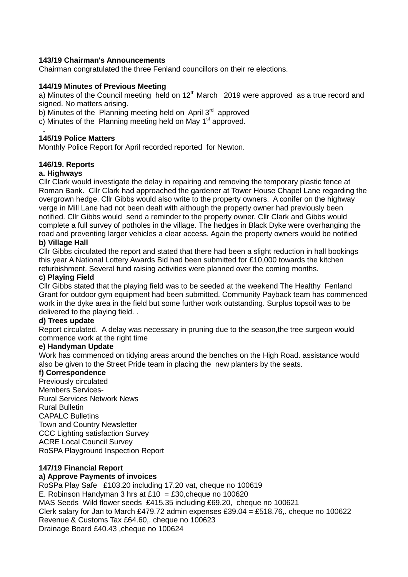## **143/19 Chairman's Announcements**

Chairman congratulated the three Fenland councillors on their re elections.

## **144/19 Minutes of Previous Meeting**

a) Minutes of the Council meeting held on  $12<sup>th</sup>$  March 2019 were approved as a true record and signed. No matters arising.

b) Minutes of the Planning meeting held on April 3<sup>rd</sup> approved

c) Minutes of the Planning meeting held on May  $1<sup>st</sup>$  approved.

## **145/19 Police Matters**

Monthly Police Report for April recorded reported for Newton.

## **146/19. Reports**

## **a. Highways**

 **.**

Cllr Clark would investigate the delay in repairing and removing the temporary plastic fence at Roman Bank. Cllr Clark had approached the gardener at Tower House Chapel Lane regarding the overgrown hedge. Cllr Gibbs would also write to the property owners. A conifer on the highway verge in Mill Lane had not been dealt with although the property owner had previously been notified. Cllr Gibbs would send a reminder to the property owner. Cllr Clark and Gibbs would complete a full survey of potholes in the village. The hedges in Black Dyke were overhanging the road and preventing larger vehicles a clear access. Again the property owners would be notified **b) Village Hall** 

Cllr Gibbs circulated the report and stated that there had been a slight reduction in hall bookings this year A National Lottery Awards Bid had been submitted for £10,000 towards the kitchen refurbishment. Several fund raising activities were planned over the coming months.

## **c) Playing Field**

Cllr Gibbs stated that the playing field was to be seeded at the weekend The Healthy Fenland Grant for outdoor gym equipment had been submitted. Community Payback team has commenced work in the dyke area in the field but some further work outstanding. Surplus topsoil was to be delivered to the playing field. .

## **d) Trees update**

Report circulated. A delay was necessary in pruning due to the season,the tree surgeon would commence work at the right time

### **e) Handyman Update**

Work has commenced on tidying areas around the benches on the High Road. assistance would also be given to the Street Pride team in placing the new planters by the seats.

# **f) Correspondence**

Previously circulated Members Services-Rural Services Network News Rural Bulletin CAPALC Bulletins Town and Country Newsletter CCC Lighting satisfaction Survey ACRE Local Council Survey RoSPA Playground Inspection Report

## **147/19 Financial Report**

### **a) Approve Payments of invoices**

RoSPa Play Safe £103.20 including 17.20 vat, cheque no 100619 E. Robinson Handyman 3 hrs at £10 = £30, cheque no 100620 MAS Seeds Wild flower seeds £415.35 including £69.20, cheque no 100621 Clerk salary for Jan to March £479.72 admin expenses £39.04 = £518.76,. cheque no 100622 Revenue & Customs Tax £64.60,. cheque no 100623 Drainage Board £40.43 ,cheque no 100624